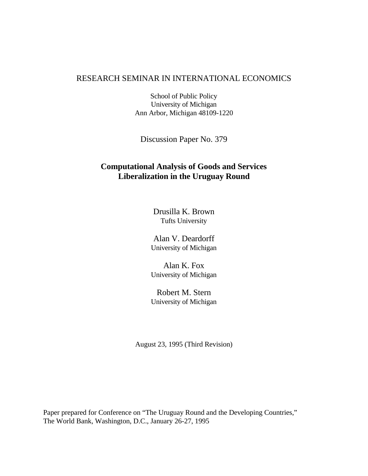# RESEARCH SEMINAR IN INTERNATIONAL ECONOMICS

School of Public Policy University of Michigan Ann Arbor, Michigan 48109-1220

Discussion Paper No. 379

# **Computational Analysis of Goods and Services Liberalization in the Uruguay Round**

Drusilla K. Brown Tufts University

Alan V. Deardorff University of Michigan

Alan K. Fox University of Michigan

Robert M. Stern University of Michigan

August 23, 1995 (Third Revision)

Paper prepared for Conference on "The Uruguay Round and the Developing Countries," The World Bank, Washington, D.C., January 26-27, 1995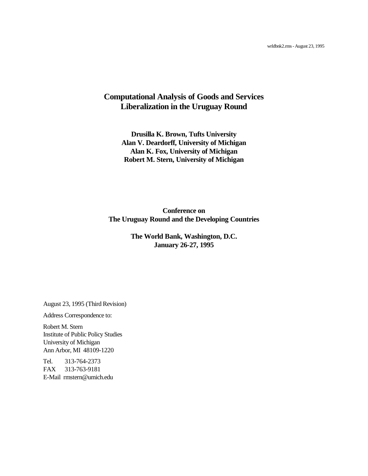# **Computational Analysis of Goods and Services Liberalization in the Uruguay Round**

**Drusilla K. Brown, Tufts University Alan V. Deardorff, University of Michigan Alan K. Fox, University of Michigan Robert M. Stern, University of Michigan**

**Conference on The Uruguay Round and the Developing Countries**

> **The World Bank, Washington, D.C. January 26-27, 1995**

August 23, 1995 (Third Revision)

Address Correspondence to:

Robert M. Stern Institute of Public Policy Studies University of Michigan Ann Arbor, MI 48109-1220

Tel. 313-764-2373 FAX 313-763-9181 E-Mail rmstern@umich.edu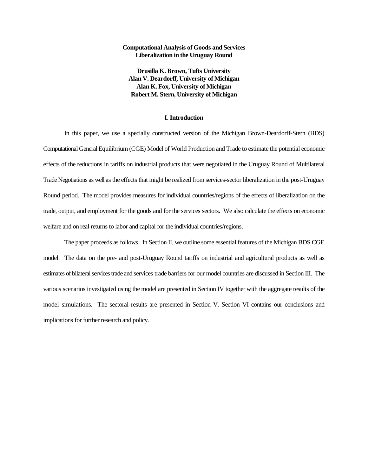# **Computational Analysis of Goods and Services Liberalization in the Uruguay Round**

**Drusilla K. Brown, Tufts University Alan V. Deardorff, University of Michigan Alan K. Fox, University of Michigan Robert M. Stern, University of Michigan**

# **I. Introduction**

In this paper, we use a specially constructed version of the Michigan Brown-Deardorff-Stern (BDS) Computational General Equilibrium (CGE) Model of World Production and Trade to estimate the potential economic effects of the reductions in tariffs on industrial products that were negotiated in the Uruguay Round of Multilateral Trade Negotiations as well as the effects that might be realized from services-sector liberalization in the post-Uruguay Round period. The model provides measures for individual countries/regions of the effects of liberalization on the trade, output, and employment for the goods and for the services sectors. We also calculate the effects on economic welfare and on real returns to labor and capital for the individual countries/regions.

The paper proceeds as follows. In Section II, we outline some essential features of the Michigan BDS CGE model. The data on the pre- and post-Uruguay Round tariffs on industrial and agricultural products as well as estimates of bilateral services trade and services trade barriers for our model countries are discussed in Section III. The various scenarios investigated using the model are presented in Section IV together with the aggregate results of the model simulations. The sectoral results are presented in Section V. Section VI contains our conclusions and implications for further research and policy.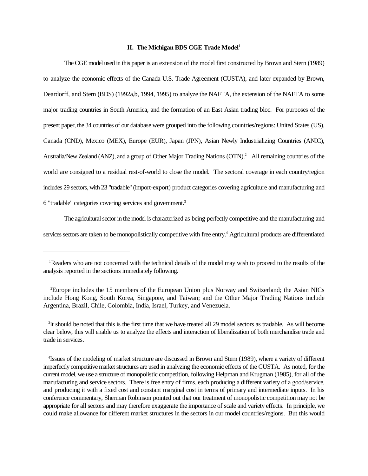### **II.** The Michigan BDS CGE Trade Model<sup>1</sup>

The CGE model used in this paper is an extension of the model first constructed by Brown and Stern (1989) to analyze the economic effects of the Canada-U.S. Trade Agreement (CUSTA), and later expanded by Brown, Deardorff, and Stern (BDS) (1992a,b, 1994, 1995) to analyze the NAFTA, the extension of the NAFTA to some major trading countries in South America, and the formation of an East Asian trading bloc. For purposes of the present paper, the 34 countries of our database were grouped into the following countries/regions: United States (US), Canada (CND), Mexico (MEX), Europe (EUR), Japan (JPN), Asian Newly Industrializing Countries (ANIC), Australia/New Zealand (ANZ), and a group of Other Major Trading Nations (OTN).<sup>2</sup> All remaining countries of the world are consigned to a residual rest-of-world to close the model. The sectoral coverage in each country/region includes 29 sectors, with 23 "tradable" (import-export) product categories covering agriculture and manufacturing and 6 "tradable" categories covering services and government.3

The agricultural sector in the model is characterized as being perfectly competitive and the manufacturing and services sectors are taken to be monopolistically competitive with free entry.<sup>4</sup> Agricultural products are differentiated

Readers who are not concerned with the technical details of the model may wish to proceed to the results of the analysis reported in the sections immediately following.

Europe includes the 15 members of the European Union plus Norway and Switzerland; the Asian NICs 2 include Hong Kong, South Korea, Singapore, and Taiwan; and the Other Major Trading Nations include Argentina, Brazil, Chile, Colombia, India, Israel, Turkey, and Venezuela.

<sup>&</sup>lt;sup>3</sup>It should be noted that this is the first time that we have treated all 29 model sectors as tradable. As will become clear below, this will enable us to analyze the effects and interaction of liberalization of both merchandise trade and trade in services.

<sup>&</sup>lt;sup>4</sup>Issues of the modeling of market structure are discussed in Brown and Stern (1989), where a variety of different imperfectly competitive market structures are used in analyzing the economic effects of the CUSTA. As noted, for the current model, we use a structure of monopolistic competition, following Helpman and Krugman (1985), for all of the manufacturing and service sectors. There is free entry of firms, each producing a different variety of a good/service, and producing it with a fixed cost and constant marginal cost in terms of primary and intermediate inputs. In his conference commentary, Sherman Robinson pointed out that our treatment of monopolistic competition may not be appropriate for all sectors and may therefore exaggerate the importance of scale and variety effects. In principle, we could make allowance for different market structures in the sectors in our model countries/regions. But this would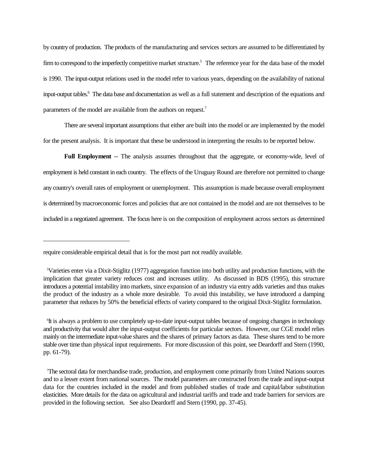by country of production. The products of the manufacturing and services sectors are assumed to be differentiated by firm to correspond to the imperfectly competitive market structure.<sup>5</sup> The reference year for the data base of the model is 1990. The input-output relations used in the model refer to various years, depending on the availability of national input-output tables.<sup>6</sup> The data base and documentation as well as a full statement and description of the equations and parameters of the model are available from the authors on request.<sup>7</sup>

There are several important assumptions that either are built into the model or are implemented by the model for the present analysis. It is important that these be understood in interpreting the results to be reported below.

**Full Employment** -- The analysis assumes throughout that the aggregate, or economy-wide, level of employment is held constant in each country. The effects of the Uruguay Round are therefore not permitted to change any country's overall rates of employment or unemployment. This assumption is made because overall employment is determined by macroeconomic forces and policies that are not contained in the model and are not themselves to be included in a negotiated agreement. The focus here is on the composition of employment across sectors as determined

require considerable empirical detail that is for the most part not readily available.

Varieties enter via a Dixit-Stiglitz (1977) aggregation function into both utility and production functions, with the 5 implication that greater variety reduces cost and increases utility. As discussed in BDS (1995), this structure introduces a potential instability into markets, since expansion of an industry via entry adds varieties and thus makes the product of the industry as a whole more desirable. To avoid this instability, we have introduced a damping parameter that reduces by 50% the beneficial effects of variety compared to the original Dixit-Stiglitz formulation.

<sup>&</sup>lt;sup>o</sup>It is always a problem to use completely up-to-date input-output tables because of ongoing changes in technology and productivity that would alter the input-output coefficients for particular sectors. However, our CGE model relies mainly on the intermediate input-value shares and the shares of primary factors as data. These shares tend to be more stable over time than physical input requirements. For more discussion of this point, see Deardorff and Stern (1990, pp. 61-79).

The sectoral data for merchandise trade, production, and employment come primarily from United Nations sources 7 and to a lesser extent from national sources. The model parameters are constructed from the trade and input-output data for the countries included in the model and from published studies of trade and capital/labor substitution elasticities. More details for the data on agricultural and industrial tariffs and trade and trade barriers for services are provided in the following section. See also Deardorff and Stern (1990, pp. 37-45).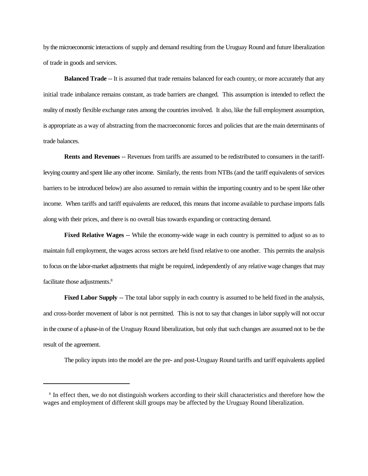by the microeconomic interactions of supply and demand resulting from the Uruguay Round and future liberalization of trade in goods and services.

**Balanced Trade** -- It is assumed that trade remains balanced for each country, or more accurately that any initial trade imbalance remains constant, as trade barriers are changed. This assumption is intended to reflect the reality of mostly flexible exchange rates among the countries involved. It also, like the full employment assumption, is appropriate as a way of abstracting from the macroeconomic forces and policies that are the main determinants of trade balances.

**Rents and Revenues** -- Revenues from tariffs are assumed to be redistributed to consumers in the tarifflevying country and spent like any other income. Similarly, the rents from NTBs (and the tariff equivalents of services barriers to be introduced below) are also assumed to remain within the importing country and to be spent like other income. When tariffs and tariff equivalents are reduced, this means that income available to purchase imports falls along with their prices, and there is no overall bias towards expanding or contracting demand.

**Fixed Relative Wages** -- While the economy-wide wage in each country is permitted to adjust so as to maintain full employment, the wages across sectors are held fixed relative to one another. This permits the analysis to focus on the labor-market adjustments that might be required, independently of any relative wage changes that may facilitate those adjustments.<sup>8</sup>

**Fixed Labor Supply** -- The total labor supply in each country is assumed to be held fixed in the analysis, and cross-border movement of labor is not permitted. This is not to say that changes in labor supply will not occur in the course of a phase-in of the Uruguay Round liberalization, but only that such changes are assumed not to be the result of the agreement.

The policy inputs into the model are the pre- and post-Uruguay Round tariffs and tariff equivalents applied

<sup>&</sup>lt;sup>8</sup> In effect then, we do not distinguish workers according to their skill characteristics and therefore how the wages and employment of different skill groups may be affected by the Uruguay Round liberalization.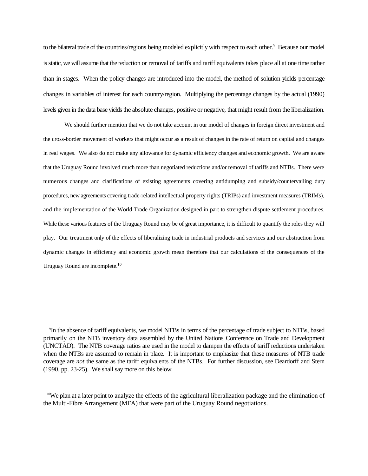to the bilateral trade of the countries/regions being modeled explicitly with respect to each other.<sup>9</sup> Because our model is static, we will assume that the reduction or removal of tariffs and tariff equivalents takes place all at one time rather than in stages. When the policy changes are introduced into the model, the method of solution yields percentage changes in variables of interest for each country/region. Multiplying the percentage changes by the actual (1990) levels given in the data base yields the absolute changes, positive or negative, that might result from the liberalization.

We should further mention that we do not take account in our model of changes in foreign direct investment and the cross-border movement of workers that might occur as a result of changes in the rate of return on capital and changes in real wages. We also do not make any allowance for dynamic efficiency changes and economic growth. We are aware that the Uruguay Round involved much more than negotiated reductions and/or removal of tariffs and NTBs. There were numerous changes and clarifications of existing agreements covering antidumping and subsidy/countervailing duty procedures, new agreements covering trade-related intellectual property rights (TRIPs) and investment measures (TRIMs), and the implementation of the World Trade Organization designed in part to strengthen dispute settlement procedures. While these various features of the Uruguay Round may be of great importance, it is difficult to quantify the roles they will play. Our treatment only of the effects of liberalizing trade in industrial products and services and our abstraction from dynamic changes in efficiency and economic growth mean therefore that our calculations of the consequences of the Uruguay Round are incomplete.<sup>10</sup>

<sup>&</sup>lt;sup>9</sup>In the absence of tariff equivalents, we model NTBs in terms of the percentage of trade subject to NTBs, based primarily on the NTB inventory data assembled by the United Nations Conference on Trade and Development (UNCTAD). The NTB coverage ratios are used in the model to dampen the effects of tariff reductions undertaken when the NTBs are assumed to remain in place. It is important to emphasize that these measures of NTB trade coverage are *not* the same as the tariff equivalents of the NTBs. For further discussion, see Deardorff and Stern (1990, pp. 23-25). We shall say more on this below.

 $^{10}$ We plan at a later point to analyze the effects of the agricultural liberalization package and the elimination of the Multi-Fibre Arrangement (MFA) that were part of the Uruguay Round negotiations.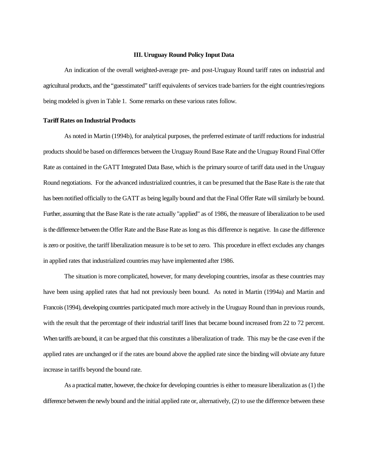# **III. Uruguay Round Policy Input Data**

An indication of the overall weighted-average pre- and post-Uruguay Round tariff rates on industrial and agricultural products, and the "guesstimated" tariff equivalents of services trade barriers for the eight countries/regions being modeled is given in Table 1. Some remarks on these various rates follow.

# **Tariff Rates on Industrial Products**

As noted in Martin (1994b), for analytical purposes, the preferred estimate of tariff reductions for industrial products should be based on differences between the Uruguay Round Base Rate and the Uruguay Round Final Offer Rate as contained in the GATT Integrated Data Base, which is the primary source of tariff data used in the Uruguay Round negotiations. For the advanced industrialized countries, it can be presumed that the Base Rate is the rate that has been notified officially to the GATT as being legally bound and that the Final Offer Rate will similarly be bound. Further, assuming that the Base Rate is the rate actually "applied" as of 1986, the measure of liberalization to be used is the difference between the Offer Rate and the Base Rate as long as this difference is negative. In case the difference is zero or positive, the tariff liberalization measure is to be set to zero. This procedure in effect excludes any changes in applied rates that industrialized countries may have implemented after 1986.

The situation is more complicated, however, for many developing countries, insofar as these countries may have been using applied rates that had not previously been bound. As noted in Martin (1994a) and Martin and Francois (1994), developing countries participated much more actively in the Uruguay Round than in previous rounds, with the result that the percentage of their industrial tariff lines that became bound increased from 22 to 72 percent. When tariffs are bound, it can be argued that this constitutes a liberalization of trade. This may be the case even if the applied rates are unchanged or if the rates are bound above the applied rate since the binding will obviate any future increase in tariffs beyond the bound rate.

As a practical matter, however, the choice for developing countries is either to measure liberalization as (1) the difference between the newly bound and the initial applied rate or, alternatively, (2) to use the difference between these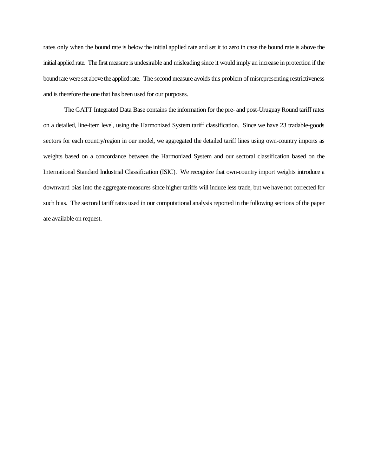rates only when the bound rate is below the initial applied rate and set it to zero in case the bound rate is above the initial applied rate. The first measure is undesirable and misleading since it would imply an increase in protection if the bound rate were set above the applied rate. The second measure avoids this problem of misrepresenting restrictiveness and is therefore the one that has been used for our purposes.

The GATT Integrated Data Base contains the information for the pre- and post-Uruguay Round tariff rates on a detailed, line-item level, using the Harmonized System tariff classification. Since we have 23 tradable-goods sectors for each country/region in our model, we aggregated the detailed tariff lines using own-country imports as weights based on a concordance between the Harmonized System and our sectoral classification based on the International Standard Industrial Classification (ISIC). We recognize that own-country import weights introduce a downward bias into the aggregate measures since higher tariffs will induce less trade, but we have not corrected for such bias. The sectoral tariff rates used in our computational analysis reported in the following sections of the paper are available on request.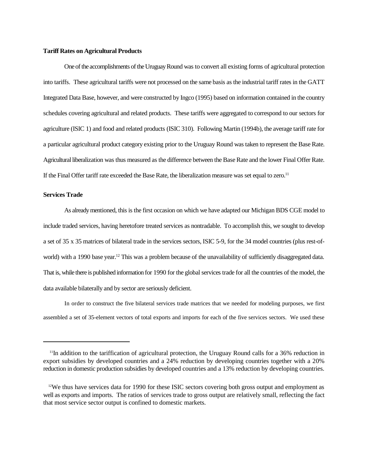# **Tariff Rates on Agricultural Products**

One of the accomplishments of the Uruguay Round was to convert all existing forms of agricultural protection into tariffs. These agricultural tariffs were not processed on the same basis as the industrial tariff rates in the GATT Integrated Data Base, however, and were constructed by Ingco (1995) based on information contained in the country schedules covering agricultural and related products. These tariffs were aggregated to correspond to our sectors for agriculture (ISIC 1) and food and related products (ISIC 310). Following Martin (1994b), the average tariff rate for a particular agricultural product category existing prior to the Uruguay Round was taken to represent the Base Rate. Agricultural liberalization was thus measured as the difference between the Base Rate and the lower Final Offer Rate. If the Final Offer tariff rate exceeded the Base Rate, the liberalization measure was set equal to zero.<sup>11</sup>

# **Services Trade**

As already mentioned, this is the first occasion on which we have adapted our Michigan BDS CGE model to include traded services, having heretofore treated services as nontradable. To accomplish this, we sought to develop a set of 35 x 35 matrices of bilateral trade in the services sectors, ISIC 5-9, for the 34 model countries (plus rest-ofworld) with a 1990 base year.<sup>12</sup> This was a problem because of the unavailability of sufficiently disaggregated data. That is, while there is published information for 1990 for the global services trade for all the countries of the model, the data available bilaterally and by sector are seriously deficient.

In order to construct the five bilateral services trade matrices that we needed for modeling purposes, we first assembled a set of 35-element vectors of total exports and imports for each of the five services sectors. We used these

 $\rm{^{11}In}$  addition to the tariffication of agricultural protection, the Uruguay Round calls for a 36% reduction in export subsidies by developed countries and a 24% reduction by developing countries together with a 20% reduction in domestic production subsidies by developed countries and a 13% reduction by developing countries.

<sup>&</sup>lt;sup>12</sup>We thus have services data for 1990 for these ISIC sectors covering both gross output and employment as  $12\%$ well as exports and imports. The ratios of services trade to gross output are relatively small, reflecting the fact that most service sector output is confined to domestic markets.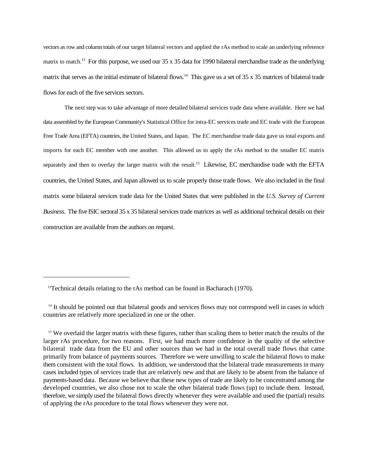vectors as row and column totals of our target bilateral vectors and applied the rAs method to scale an underlying reference matrix to match.<sup>13</sup> For this purpose, we used our  $35 \times 35$  data for 1990 bilateral merchandise trade as the underlying matrix that serves as the initial estimate of bilateral flows.<sup>14</sup> This gave us a set of  $35 \times 35$  matrices of bilateral trade flows for each of the five services sectors.

The next step was to take advantage of more detailed bilateral services trade data where available. Here we had data assembled by the European Community's Statistical Office for intra-EC services trade and EC trade with the European Free Trade Area (EFTA) countries, the United States, and Japan. The EC merchandise trade data gave us total exports and imports for each EC member with one another. This allowed us to apply the rAs method to the smaller EC matrix separately and then to overlay the larger matrix with the result.<sup>15</sup> Likewise, EC merchandise trade with the EFTA countries, the United States, and Japan allowed us to scale properly those trade flows. We also included in the final matrix some bilateral services trade data for the United States that were published in the *U.S. Survey of Current Business*. The five ISIC sectoral 35 x 35 bilateral services trade matrices as well as additional technical details on their construction are available from the authors on request.

<sup>&</sup>lt;sup>13</sup>Technical details relating to the rAs method can be found in Bacharach (1970).

<sup>&</sup>lt;sup>14</sup> It should be pointed out that bilateral goods and services flows may not correspond well in cases in which countries are relatively more specialized in one or the other.

 $15$  We overlaid the larger matrix with these figures, rather than scaling them to better match the results of the larger rAs procedure, for two reasons. First, we had much more confidence in the quality of the selective bilateral trade data from the EU and other sources than we had in the total overall trade flows that came primarily from balance of payments sources. Therefore we were unwilling to scale the bilateral flows to make them consistent with the total flows. In addition, we understood that the bilateral trade measurements in many cases included types of services trade that are relatively new and that are likely to be absent from the balance of payments-based data. Because we believe that these new types of trade are likely to be concentrated among the developed countries, we also chose not to scale the other bilateral trade flows (up) to include them. Instead, therefore, we simply used the bilateral flows directly whenever they were available and used the (partial) results of applying the rAs procedure to the total flows whenever they were not.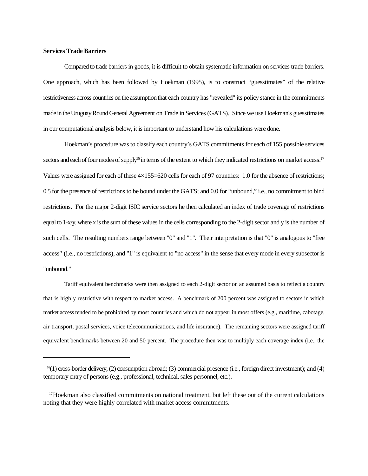# **Services Trade Barriers**

Compared to trade barriers in goods, it is difficult to obtain systematic information on services trade barriers. One approach, which has been followed by Hoekman (1995), is to construct "guesstimates" of the relative restrictiveness across countries on the assumption that each country has "revealed" its policy stance in the commitments made in the Uruguay Round General Agreement on Trade in Services (GATS). Since we use Hoekman's guesstimates in our computational analysis below, it is important to understand how his calculations were done.

Hoekman's procedure was to classify each country's GATS commitments for each of 155 possible services sectors and each of four modes of supply<sup>16</sup> in terms of the extent to which they indicated restrictions on market access.<sup>17</sup> Values were assigned for each of these 4×155=620 cells for each of 97 countries: 1.0 for the absence of restrictions; 0.5 for the presence of restrictions to be bound under the GATS; and 0.0 for "unbound," i.e., no commitment to bind restrictions. For the major 2-digit ISIC service sectors he then calculated an index of trade coverage of restrictions equal to  $1-x/y$ , where x is the sum of these values in the cells corresponding to the 2-digit sector and y is the number of such cells. The resulting numbers range between "0" and "1". Their interpretation is that "0" is analogous to "free access" (i.e., no restrictions), and "1" is equivalent to "no access" in the sense that every mode in every subsector is "unbound."

Tariff equivalent benchmarks were then assigned to each 2-digit sector on an assumed basis to reflect a country that is highly restrictive with respect to market access. A benchmark of 200 percent was assigned to sectors in which market access tended to be prohibited by most countries and which do not appear in most offers (e.g., maritime, cabotage, air transport, postal services, voice telecommunications, and life insurance). The remaining sectors were assigned tariff equivalent benchmarks between 20 and 50 percent. The procedure then was to multiply each coverage index (i.e., the

 $^{16}(1)$  cross-border delivery; (2) consumption abroad; (3) commercial presence (i.e., foreign direct investment); and (4) temporary entry of persons (e.g., professional, technical, sales personnel, etc.).

 $^{17}$ Hoekman also classified commitments on national treatment, but left these out of the current calculations noting that they were highly correlated with market access commitments.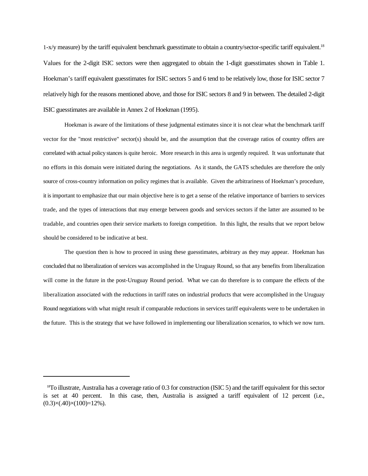1-x/y measure) by the tariff equivalent benchmark guesstimate to obtain a country/sector-specific tariff equivalent.<sup>18</sup> Values for the 2-digit ISIC sectors were then aggregated to obtain the 1-digit guesstimates shown in Table 1. Hoekman's tariff equivalent guesstimates for ISIC sectors 5 and 6 tend to be relatively low, those for ISIC sector 7 relatively high for the reasons mentioned above, and those for ISIC sectors 8 and 9 in between. The detailed 2-digit ISIC guesstimates are available in Annex 2 of Hoekman (1995).

Hoekman is aware of the limitations of these judgmental estimates since it is not clear what the benchmark tariff vector for the "most restrictive" sector(s) should be, and the assumption that the coverage ratios of country offers are correlated with actual policy stances is quite heroic. More research in this area is urgently required. It was unfortunate that no efforts in this domain were initiated during the negotiations. As it stands, the GATS schedules are therefore the only source of cross-country information on policy regimes that is available. Given the arbitrariness of Hoekman's procedure, it is important to emphasize that our main objective here is to get a sense of the relative importance of barriers to services trade, and the types of interactions that may emerge between goods and services sectors if the latter are assumed to be tradable, and countries open their service markets to foreign competition. In this light, the results that we report below should be considered to be indicative at best.

The question then is how to proceed in using these guesstimates, arbitrary as they may appear. Hoekman has concluded that no liberalization of services was accomplished in the Uruguay Round, so that any benefits from liberalization will come in the future in the post-Uruguay Round period. What we can do therefore is to compare the effects of the liberalization associated with the reductions in tariff rates on industrial products that were accomplished in the Uruguay Round negotiations with what might result if comparable reductions in services tariff equivalents were to be undertaken in the future. This is the strategy that we have followed in implementing our liberalization scenarios, to which we now turn.

 $18$ To illustrate, Australia has a coverage ratio of 0.3 for construction (ISIC 5) and the tariff equivalent for this sector is set at 40 percent. In this case, then, Australia is assigned a tariff equivalent of 12 percent (i.e.,  $(0.3)\times(.40)\times(100)=12\%$ ).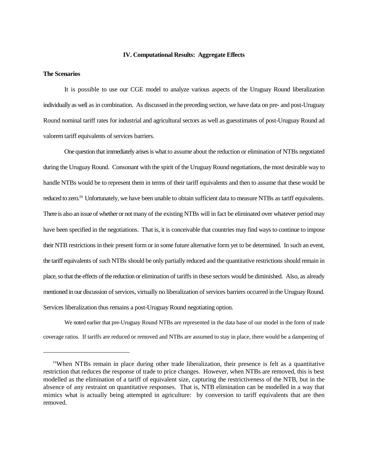# **IV. Computational Results: Aggregate Effects**

# **The Scenarios**

It is possible to use our CGE model to analyze various aspects of the Uruguay Round liberalization individually as well as in combination. As discussed in the preceding section, we have data on pre- and post-Uruguay Round nominal tariff rates for industrial and agricultural sectors as well as guesstimates of post-Uruguay Round ad valorem tariff equivalents of services barriers.

One question that immediately arises is what to assume about the reduction or elimination of NTBs negotiated during the Uruguay Round. Consonant with the spirit of the Uruguay Round negotiations, the most desirable way to handle NTBs would be to represent them in terms of their tariff equivalents and then to assume that these would be reduced to zero.<sup>19</sup> Unfortunately, we have been unable to obtain sufficient data to measure NTBs as tariff equivalents. There is also an issue of whether or not many of the existing NTBs will in fact be eliminated over whatever period may have been specified in the negotiations. That is, it is conceivable that countries may find ways to continue to impose their NTB restrictions in their present form or in some future alternative form yet to be determined. In such an event, the tariff equivalents of such NTBs should be only partially reduced and the quantitative restrictions should remain in place, so that the effects of the reduction or elimination of tariffs in these sectors would be diminished. Also, as already mentioned in our discussion of services, virtually no liberalization of services barriers occurred in the Uruguay Round. Services liberalization thus remains a post-Uruguay Round negotiating option.

We noted earlier that pre-Uruguay Round NTBs are represented in the data base of our model in the form of trade coverage ratios. If tariffs are reduced or removed and NTBs are assumed to stay in place, there would be a dampening of

<sup>&</sup>lt;sup>19</sup>When NTBs remain in place during other trade liberalization, their presence is felt as a quantitative restriction that reduces the response of trade to price changes. However, when NTBs are removed, this is best modelled as the elimination of a tariff of equivalent size, capturing the restrictiveness of the NTB, but in the absence of any restraint on quantitative responses. That is, NTB elimination can be modelled in a way that mimics what is actually being attempted in agriculture: by conversion to tariff equivalents that are then removed.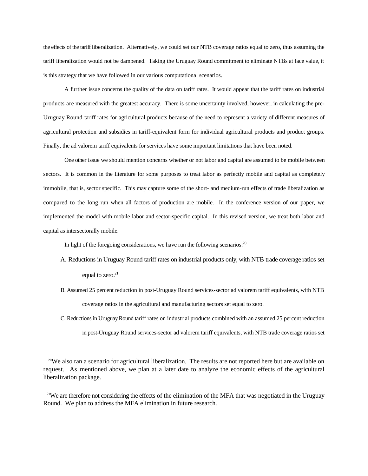the effects of the tariff liberalization. Alternatively, we could set our NTB coverage ratios equal to zero, thus assuming the tariff liberalization would not be dampened. Taking the Uruguay Round commitment to eliminate NTBs at face value, it is this strategy that we have followed in our various computational scenarios.

A further issue concerns the quality of the data on tariff rates. It would appear that the tariff rates on industrial products are measured with the greatest accuracy. There is some uncertainty involved, however, in calculating the pre-Uruguay Round tariff rates for agricultural products because of the need to represent a variety of different measures of agricultural protection and subsidies in tariff-equivalent form for individual agricultural products and product groups. Finally, the ad valorem tariff equivalents for services have some important limitations that have been noted.

One other issue we should mention concerns whether or not labor and capital are assumed to be mobile between sectors. It is common in the literature for some purposes to treat labor as perfectly mobile and capital as completely immobile, that is, sector specific. This may capture some of the short- and medium-run effects of trade liberalization as compared to the long run when all factors of production are mobile. In the conference version of our paper, we implemented the model with mobile labor and sector-specific capital. In this revised version, we treat both labor and capital as intersectorally mobile.

In light of the foregoing considerations, we have run the following scenarios: $^{20}$ 

- A. Reductions in Uruguay Round tariff rates on industrial products only, with NTB trade coverage ratios set equal to zero.<sup>21</sup>
- B. Assumed 25 percent reduction in post-Uruguay Round services-sector ad valorem tariff equivalents, with NTB coverage ratios in the agricultural and manufacturing sectors set equal to zero.
- C. Reductions in Uruguay Round tariff rates on industrial products combined with an assumed 25 percent reduction in post-Uruguay Round services-sector ad valorem tariff equivalents, with NTB trade coverage ratios set

<sup>&</sup>lt;sup>20</sup>We also ran a scenario for agricultural liberalization. The results are not reported here but are available on request. As mentioned above, we plan at a later date to analyze the economic effects of the agricultural liberalization package.

<sup>&</sup>lt;sup>21</sup>We are therefore not considering the effects of the elimination of the MFA that was negotiated in the Uruguay Round. We plan to address the MFA elimination in future research.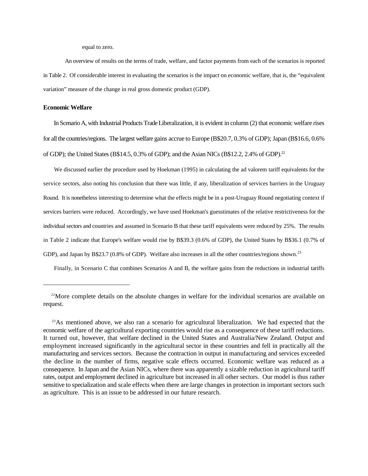equal to zero.

An overview of results on the terms of trade, welfare, and factor payments from each of the scenarios is reported in Table 2. Of considerable interest in evaluating the scenarios is the impact on economic welfare, that is, the "equivalent variation" measure of the change in real gross domestic product (GDP).

#### **Economic Welfare**

In Scenario A, with Industrial Products Trade Liberalization, it is evident in column (2) that economic welfare rises for all the countries/regions. The largest welfare gains accrue to Europe (B\$20.7, 0.3% of GDP); Japan (B\$16.6, 0.6% of GDP); the United States (B\$14.5, 0.3% of GDP); and the Asian NICs (B\$12.2, 2.4% of GDP).<sup>22</sup>

We discussed earlier the procedure used by Hoekman (1995) in calculating the ad valorem tariff equivalents for the service sectors, also noting his conclusion that there was little, if any, liberalization of services barriers in the Uruguay Round. It is nonetheless interesting to determine what the effects might be in a post-Uruguay Round negotiating context if services barriers were reduced. Accordingly, we have used Hoekman's guesstimates of the relative restrictiveness for the individual sectors and countries and assumed in Scenario B that these tariff equivalents were reduced by 25%. The results in Table 2 indicate that Europe's welfare would rise by B\$39.3 (0.6% of GDP), the United States by B\$36.1 (0.7% of GDP), and Japan by B\$23.7 (0.8% of GDP). Welfare also increases in all the other countries/regions shown.<sup>23</sup>

Finally, in Scenario C that combines Scenarios A and B, the welfare gains from the reductions in industrial tariffs

 $2<sup>22</sup>$ More complete details on the absolute changes in welfare for the individual scenarios are available on request.

<sup>&</sup>lt;sup>23</sup>As mentioned above, we also ran a scenario for agricultural liberalization. We had expected that the economic welfare of the agricultural exporting countries would rise as a consequence of these tariff reductions. It turned out, however, that welfare declined in the United States and Australia/New Zealand. Output and employment increased significantly in the agricultural sector in these countries and fell in practically all the manufacturing and services sectors. Because the contraction in output in manufacturing and services exceeded the decline in the number of firms, negative scale effects occurred. Economic welfare was reduced as a consequence. In Japan and the Asian NICs, where there was apparently a sizable reduction in agricultural tariff rates, output and employment declined in agriculture but increased in all other sectors. Our model is thus rather sensitive to specialization and scale effects when there are large changes in protection in important sectors such as agriculture. This is an issue to be addressed in our future research.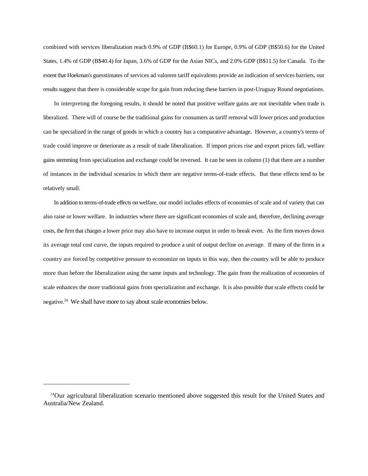combined with services liberalization reach 0.9% of GDP (B\$60.1) for Europe, 0.9% of GDP (B\$50.6) for the United States, 1.4% of GDP (B\$40.4) for Japan, 3.6% of GDP for the Asian NICs, and 2.0% GDP (B\$11.5) for Canada. To the extent that Hoekman's guesstimates of services ad valorem tariff equivalents provide an indication of services barriers, our results suggest that there is considerable scope for gain from reducing these barriers in post-Uruguay Round negotiations.

In interpreting the foregoing results, it should be noted that positive welfare gains are not inevitable when trade is liberalized. There will of course be the traditional gains for consumers as tariff removal will lower prices and production can be specialized in the range of goods in which a country has a comparative advantage. However, a country's terms of trade could improve or deteriorate as a result of trade liberalization. If import prices rise and export prices fall, welfare gains stemming from specialization and exchange could be reversed. It can be seen in column (1) that there are a number of instances in the individual scenarios in which there are negative terms-of-trade effects. But these effects tend to be relatively small.

In addition to terms-of-trade effects on welfare, our model includes effects of economies of scale and of variety that can also raise or lower welfare. In industries where there are significant economies of scale and, therefore, declining average costs, the firm that charges a lower price may also have to increase output in order to break even. As the firm moves down its average total cost curve, the inputs required to produce a unit of output decline on average. If many of the firms in a country are forced by competitive pressure to economize on inputs in this way, then the country will be able to produce more than before the liberalization using the same inputs and technology. The gain from the realization of economies of scale enhances the more traditional gains from specialization and exchange. It is also possible that scale effects could be negative.<sup>24</sup> We shall have more to say about scale economies below.

 $24$ Our agricultural liberalization scenario mentioned above suggested this result for the United States and Australia/New Zealand.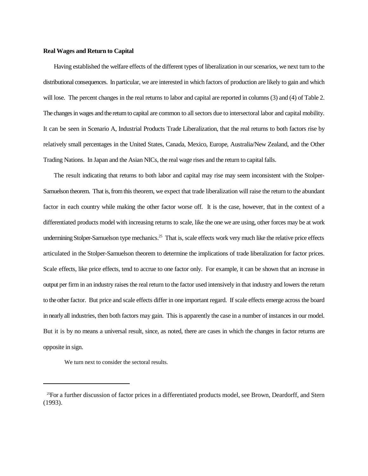# **Real Wages and Return to Capital**

Having established the welfare effects of the different types of liberalization in our scenarios, we next turn to the distributional consequences. In particular, we are interested in which factors of production are likely to gain and which will lose. The percent changes in the real returns to labor and capital are reported in columns (3) and (4) of Table 2. The changes in wages and the return to capital are common to all sectors due to intersectoral labor and capital mobility. It can be seen in Scenario A, Industrial Products Trade Liberalization, that the real returns to both factors rise by relatively small percentages in the United States, Canada, Mexico, Europe, Australia/New Zealand, and the Other Trading Nations. In Japan and the Asian NICs, the real wage rises and the return to capital falls.

The result indicating that returns to both labor and capital may rise may seem inconsistent with the Stolper-Samuelson theorem. That is, from this theorem, we expect that trade liberalization will raise the return to the abundant factor in each country while making the other factor worse off. It is the case, however, that in the context of a differentiated products model with increasing returns to scale, like the one we are using, other forces may be at work undermining Stolper-Samuelson type mechanics.<sup>25</sup> That is, scale effects work very much like the relative price effects articulated in the Stolper-Samuelson theorem to determine the implications of trade liberalization for factor prices. Scale effects, like price effects, tend to accrue to one factor only. For example, it can be shown that an increase in output per firm in an industry raises the real return to the factor used intensively in that industry and lowers the return to the other factor. But price and scale effects differ in one important regard. If scale effects emerge across the board in nearly all industries, then both factors may gain. This is apparently the case in a number of instances in our model. But it is by no means a universal result, since, as noted, there are cases in which the changes in factor returns are opposite in sign.

We turn next to consider the sectoral results.

 $^{25}$ For a further discussion of factor prices in a differentiated products model, see Brown, Deardorff, and Stern (1993).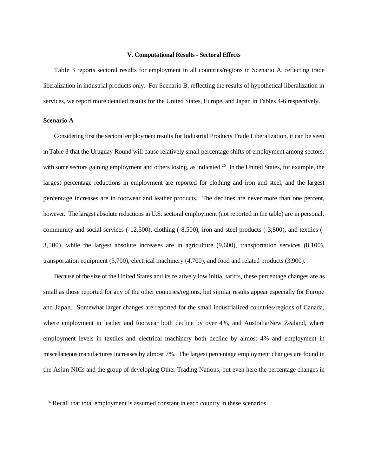## **V. Computational Results - Sectoral Effects**

Table 3 reports sectoral results for employment in all countries/regions in Scenario A, reflecting trade liberalization in industrial products only. For Scenario B, reflecting the results of hypothetical liberalization in services, we report more detailed results for the United States, Europe, and Japan in Tables 4-6 respectively.

# **Scenario A**

Considering first the sectoral employment results for Industrial Products Trade Liberalization, it can be seen in Table 3 that the Uruguay Round will cause relatively small percentage shifts of employment among sectors, with some sectors gaining employment and others losing, as indicated.<sup>26</sup> In the United States, for example, the largest percentage reductions in employment are reported for clothing and iron and steel, and the largest percentage increases are in footwear and leather products. The declines are never more than one percent, however. The largest absolute reductions in U.S. sectoral employment (not reported in the table) are in personal, community and social services (-12,500), clothing (-8,500), iron and steel products (-3,800), and textiles (- 3,500), while the largest absolute increases are in agriculture (9,600), transportation services (8,100), transportation equipment (5,700), electrical machinery (4,700), and food and related products (3,900).

Because of the size of the United States and its relatively low initial tariffs, these percentage changes are as small as those reported for any of the other countries/regions, but similar results appear especially for Europe and Japan. Somewhat larger changes are reported for the small industrialized countries/regions of Canada, where employment in leather and footwear both decline by over 4%, and Australia/New Zealand, where employment levels in textiles and electrical machinery both decline by almost 4% and employment in miscellaneous manufactures increases by almost 7%. The largest percentage employment changes are found in the Asian NICs and the group of developing Other Trading Nations, but even here the percentage changes in

<sup>&</sup>lt;sup>26</sup> Recall that total employment is assumed constant in each country in these scenarios.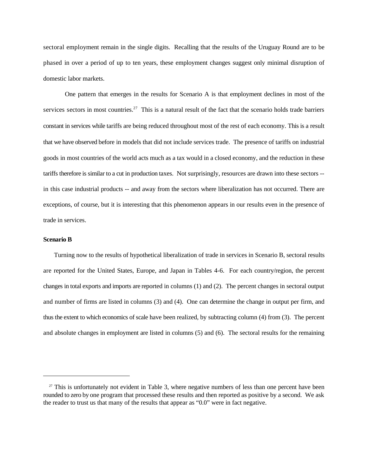sectoral employment remain in the single digits. Recalling that the results of the Uruguay Round are to be phased in over a period of up to ten years, these employment changes suggest only minimal disruption of domestic labor markets.

One pattern that emerges in the results for Scenario A is that employment declines in most of the services sectors in most countries.<sup>27</sup> This is a natural result of the fact that the scenario holds trade barriers constant in services while tariffs are being reduced throughout most of the rest of each economy. This is a result that we have observed before in models that did not include services trade. The presence of tariffs on industrial goods in most countries of the world acts much as a tax would in a closed economy, and the reduction in these tariffs therefore is similar to a cut in production taxes. Not surprisingly, resources are drawn into these sectors - in this case industrial products -- and away from the sectors where liberalization has not occurred. There are exceptions, of course, but it is interesting that this phenomenon appears in our results even in the presence of trade in services.

### **Scenario B**

Turning now to the results of hypothetical liberalization of trade in services in Scenario B, sectoral results are reported for the United States, Europe, and Japan in Tables 4-6. For each country/region, the percent changes in total exports and imports are reported in columns (1) and (2). The percent changes in sectoral output and number of firms are listed in columns (3) and (4). One can determine the change in output per firm, and thus the extent to which economics of scale have been realized, by subtracting column (4) from (3). The percent and absolute changes in employment are listed in columns (5) and (6). The sectoral results for the remaining

 $27$  This is unfortunately not evident in Table 3, where negative numbers of less than one percent have been rounded to zero by one program that processed these results and then reported as positive by a second. We ask the reader to trust us that many of the results that appear as "0.0" were in fact negative.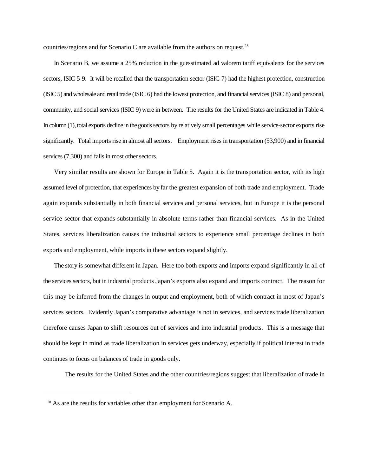countries/regions and for Scenario C are available from the authors on request.<sup>28</sup>

In Scenario B, we assume a 25% reduction in the guesstimated ad valorem tariff equivalents for the services sectors, ISIC 5-9. It will be recalled that the transportation sector (ISIC 7) had the highest protection, construction (ISIC 5) and wholesale and retail trade (ISIC 6) had the lowest protection, and financial services (ISIC 8) and personal, community, and social services (ISIC 9) were in between. The results for the United States are indicated in Table 4. In column (1), total exports decline in the goods sectors by relatively small percentages while service-sector exports rise significantly. Total imports rise in almost all sectors. Employment rises in transportation (53,900) and in financial services (7,300) and falls in most other sectors.

Very similar results are shown for Europe in Table 5. Again it is the transportation sector, with its high assumed level of protection, that experiences by far the greatest expansion of both trade and employment. Trade again expands substantially in both financial services and personal services, but in Europe it is the personal service sector that expands substantially in absolute terms rather than financial services. As in the United States, services liberalization causes the industrial sectors to experience small percentage declines in both exports and employment, while imports in these sectors expand slightly.

The story is somewhat different in Japan. Here too both exports and imports expand significantly in all of the services sectors, but in industrial products Japan's exports also expand and imports contract. The reason for this may be inferred from the changes in output and employment, both of which contract in most of Japan's services sectors. Evidently Japan's comparative advantage is not in services, and services trade liberalization therefore causes Japan to shift resources out of services and into industrial products. This is a message that should be kept in mind as trade liberalization in services gets underway, especially if political interest in trade continues to focus on balances of trade in goods only.

The results for the United States and the other countries/regions suggest that liberalization of trade in

<sup>&</sup>lt;sup>28</sup> As are the results for variables other than employment for Scenario A.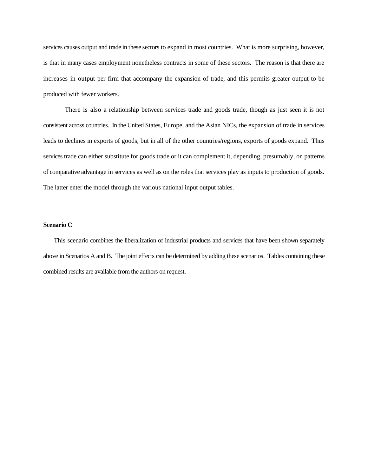services causes output and trade in these sectors to expand in most countries. What is more surprising, however, is that in many cases employment nonetheless contracts in some of these sectors. The reason is that there are increases in output per firm that accompany the expansion of trade, and this permits greater output to be produced with fewer workers.

There is also a relationship between services trade and goods trade, though as just seen it is not consistent across countries. In the United States, Europe, and the Asian NICs, the expansion of trade in services leads to declines in exports of goods, but in all of the other countries/regions, exports of goods expand. Thus services trade can either substitute for goods trade or it can complement it, depending, presumably, on patterns of comparative advantage in services as well as on the roles that services play as inputs to production of goods. The latter enter the model through the various national input output tables.

# **Scenario C**

This scenario combines the liberalization of industrial products and services that have been shown separately above in Scenarios A and B. The joint effects can be determined by adding these scenarios. Tables containing these combined results are available from the authors on request.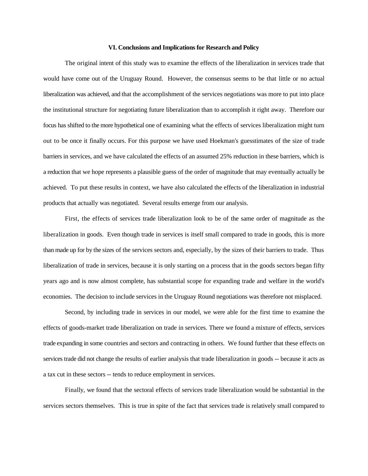## **VI. Conclusions and Implications for Research and Policy**

The original intent of this study was to examine the effects of the liberalization in services trade that would have come out of the Uruguay Round. However, the consensus seems to be that little or no actual liberalization was achieved, and that the accomplishment of the services negotiations was more to put into place the institutional structure for negotiating future liberalization than to accomplish it right away. Therefore our focus has shifted to the more hypothetical one of examining what the effects of services liberalization might turn out to be once it finally occurs. For this purpose we have used Hoekman's guesstimates of the size of trade barriers in services, and we have calculated the effects of an assumed 25% reduction in these barriers, which is a reduction that we hope represents a plausible guess of the order of magnitude that may eventually actually be achieved. To put these results in context, we have also calculated the effects of the liberalization in industrial products that actually was negotiated. Several results emerge from our analysis.

First, the effects of services trade liberalization look to be of the same order of magnitude as the liberalization in goods. Even though trade in services is itself small compared to trade in goods, this is more than made up for by the sizes of the services sectors and, especially, by the sizes of their barriers to trade. Thus liberalization of trade in services, because it is only starting on a process that in the goods sectors began fifty years ago and is now almost complete, has substantial scope for expanding trade and welfare in the world's economies. The decision to include services in the Uruguay Round negotiations was therefore not misplaced.

Second, by including trade in services in our model, we were able for the first time to examine the effects of goods-market trade liberalization on trade in services. There we found a mixture of effects, services trade expanding in some countries and sectors and contracting in others. We found further that these effects on services trade did not change the results of earlier analysis that trade liberalization in goods -- because it acts as a tax cut in these sectors -- tends to reduce employment in services.

Finally, we found that the sectoral effects of services trade liberalization would be substantial in the services sectors themselves. This is true in spite of the fact that services trade is relatively small compared to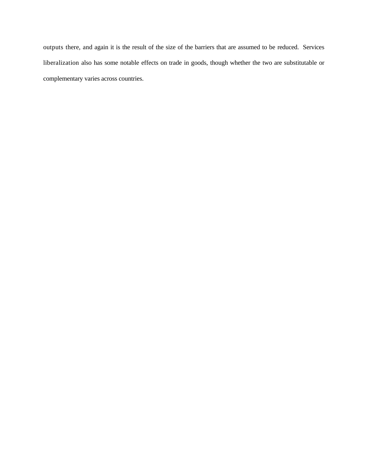outputs there, and again it is the result of the size of the barriers that are assumed to be reduced. Services liberalization also has some notable effects on trade in goods, though whether the two are substitutable or complementary varies across countries.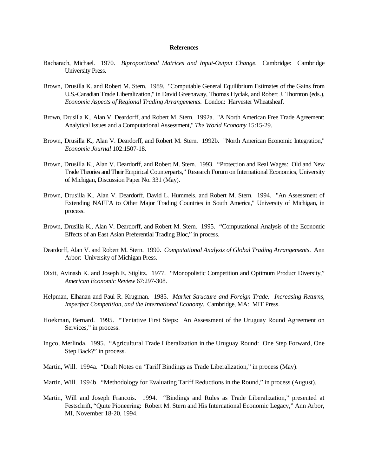#### **References**

- Bacharach, Michael. 1970. *Biproportional Matrices and Input-Output Change*. Cambridge: Cambridge University Press.
- Brown, Drusilla K. and Robert M. Stern. 1989. "Computable General Equilibrium Estimates of the Gains from U.S.-Canadian Trade Liberalization," in David Greenaway, Thomas Hyclak, and Robert J. Thornton (eds.), *Economic Aspects of Regional Trading Arrangements*. London: Harvester Wheatsheaf.
- Brown, Drusilla K., Alan V. Deardorff, and Robert M. Stern. 1992a. "A North American Free Trade Agreement: Analytical Issues and a Computational Assessment," *The World Economy* 15:15-29.
- Brown, Drusilla K., Alan V. Deardorff, and Robert M. Stern. 1992b. "North American Economic Integration," *Economic Journal* 102:1507-18.
- Brown, Drusilla K., Alan V. Deardorff, and Robert M. Stern. 1993. "Protection and Real Wages: Old and New Trade Theories and Their Empirical Counterparts," Research Forum on International Economics, University of Michigan, Discussion Paper No. 331 (May).
- Brown, Drusilla K., Alan V. Deardorff, David L. Hummels, and Robert M. Stern. 1994. "An Assessment of Extending NAFTA to Other Major Trading Countries in South America," University of Michigan, in process.
- Brown, Drusilla K., Alan V. Deardorff, and Robert M. Stern. 1995. "Computational Analysis of the Economic Effects of an East Asian Preferential Trading Bloc," in process.
- Deardorff, Alan V. and Robert M. Stern. 1990. *Computational Analysis of Global Trading Arrangements*. Ann Arbor: University of Michigan Press.
- Dixit, Avinash K. and Joseph E. Stiglitz. 1977. "Monopolistic Competition and Optimum Product Diversity," *American Economic Review* 67:297-308.
- Helpman, Elhanan and Paul R. Krugman. 1985. *Market Structure and Foreign Trade: Increasing Returns, Imperfect Competition, and the International Economy*. Cambridge, MA: MIT Press.
- Hoekman, Bernard. 1995. "Tentative First Steps: An Assessment of the Uruguay Round Agreement on Services," in process.
- Ingco, Merlinda. 1995. "Agricultural Trade Liberalization in the Uruguay Round: One Step Forward, One Step Back?" in process.
- Martin, Will. 1994a. "Draft Notes on 'Tariff Bindings as Trade Liberalization," in process (May).
- Martin, Will. 1994b. "Methodology for Evaluating Tariff Reductions in the Round," in process (August).
- Martin, Will and Joseph Francois. 1994. "Bindings and Rules as Trade Liberalization," presented at Festschrift, "Quite Pioneering: Robert M. Stern and His International Economic Legacy," Ann Arbor, MI, November 18-20, 1994.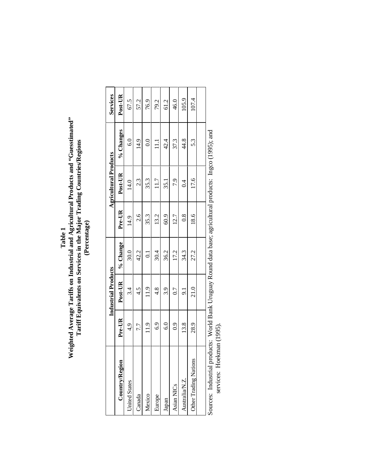# Table 1<br>Weighted Average Tariffs on Industrial and Agricultural Products and "Guesstimated"<br>Tariff Equivalents on Services in the Major Trading Countries/Regions **Weighted Average Tariffs on Industrial and Agricultural Products and "Guesstimated" Tariff Equivalents on Services in the Major Trading Countries/Regions (Percentage)**

|                                                    |        | Industrial Products |                                                                                                                                                                                                                                                                                                                     |               | <b>Agricultural Products</b> |                  | Services |
|----------------------------------------------------|--------|---------------------|---------------------------------------------------------------------------------------------------------------------------------------------------------------------------------------------------------------------------------------------------------------------------------------------------------------------|---------------|------------------------------|------------------|----------|
| Country/Region                                     | Pre-UR | Post-UR             | % Change                                                                                                                                                                                                                                                                                                            | Pre-UR        | Post-UR                      | % Changes        | Post-UR  |
| <b>Jnited States</b>                               | 4,9    | 3.4                 | 30.0                                                                                                                                                                                                                                                                                                                | 14.9          | 14.0                         | 6.0              | 67.5     |
| Canada                                             | 7.7    | 4.5                 | 42.2                                                                                                                                                                                                                                                                                                                | 2.6           | 2.3                          | 14.9             | 57.2     |
| Mexico                                             | 11.9   | 11.9                | $\overline{c}$                                                                                                                                                                                                                                                                                                      | 35.3          | 35.3                         | $\overline{0.0}$ | 76.9     |
| Europe                                             | 6.9    | 4.8                 | 30.4                                                                                                                                                                                                                                                                                                                | 13.2          | 11.7                         | Ξ                | 79.2     |
| Japan                                              | 6.0    | 3.9                 | 36.2                                                                                                                                                                                                                                                                                                                | 60.9          | 35.1                         | 42.4             | 61.2     |
| Asian NICs                                         | 0.9    | 0.7                 | 17.2                                                                                                                                                                                                                                                                                                                | 12.7          | 7.9                          | 37.3             | 46.0     |
| Australia/N.Z.                                     | 13.8   | $\overline{5}$      | 34.3                                                                                                                                                                                                                                                                                                                | $\frac{8}{2}$ | 0.4                          | 44.8             | 105.9    |
| Other Trading Nations                              | 28.9   | 21.0                | 27.2                                                                                                                                                                                                                                                                                                                | 18.6          | 17.6                         | 5.3              | 107.4    |
|                                                    |        |                     |                                                                                                                                                                                                                                                                                                                     |               |                              |                  |          |
| $\mathbf{C}$ ouroo $\cdot$ Industrial nro $\sigma$ |        |                     | $\frac{1}{2}$ $\frac{1}{2}$ $\frac{1}{2}$ $\frac{1}{2}$ $\frac{1}{2}$ $\frac{1}{2}$ $\frac{1}{2}$ $\frac{1}{2}$ $\frac{1}{2}$ $\frac{1}{2}$ $\frac{1}{2}$ $\frac{1}{2}$ $\frac{1}{2}$ $\frac{1}{2}$ $\frac{1}{2}$ $\frac{1}{2}$ $\frac{1}{2}$ $\frac{1}{2}$ $\frac{1}{2}$ $\frac{1}{2}$ $\frac{1}{2}$ $\frac{1}{2}$ |               |                              |                  |          |

Sources: Industrial products: World Bank Uruguay Round data base; agricultural products: Ingco (1995); and<br>services: Hoekman (1995). Sources: Industrial products: World Bank Uruguay Round data base; agricultural products: Ingco (1995); and services: Hoekman (1995).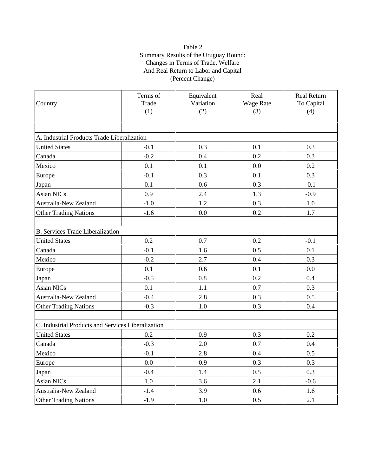# Table 2 Summary Results of the Uruguay Round: Changes in Terms of Trade, Welfare And Real Return to Labor and Capital (Percent Change)

| Country                                            | Terms of<br>Trade<br>(1) | Equivalent<br>Variation<br>(2) | Real<br><b>Wage Rate</b><br>(3) | <b>Real Return</b><br>To Capital<br>(4) |  |  |  |  |
|----------------------------------------------------|--------------------------|--------------------------------|---------------------------------|-----------------------------------------|--|--|--|--|
|                                                    |                          |                                |                                 |                                         |  |  |  |  |
| A. Industrial Products Trade Liberalization        |                          |                                |                                 |                                         |  |  |  |  |
| <b>United States</b>                               | $-0.1$                   | 0.3                            | 0.1                             | 0.3                                     |  |  |  |  |
| Canada                                             | $-0.2$                   | 0.4                            | 0.2                             | 0.3                                     |  |  |  |  |
| Mexico                                             | 0.1                      | 0.1                            | 0.0                             | 0.2                                     |  |  |  |  |
| Europe                                             | $-0.1$                   | 0.3                            | 0.1                             | 0.3                                     |  |  |  |  |
| Japan                                              | 0.1                      | 0.6                            | 0.3                             | $-0.1$                                  |  |  |  |  |
| <b>Asian NICs</b>                                  | 0.9                      | 2.4                            | 1.3                             | $-0.9$                                  |  |  |  |  |
| Australia-New Zealand                              | $-1.0$                   | 1.2                            | 0.3                             | 1.0                                     |  |  |  |  |
| <b>Other Trading Nations</b>                       | $-1.6$                   | 0.0                            | 0.2                             | 1.7                                     |  |  |  |  |
| <b>B.</b> Services Trade Liberalization            |                          |                                |                                 |                                         |  |  |  |  |
| <b>United States</b>                               | 0.2                      | 0.7                            | 0.2                             | $-0.1$                                  |  |  |  |  |
| Canada                                             | $-0.1$                   | 1.6                            | 0.5                             | 0.1                                     |  |  |  |  |
| Mexico                                             | $-0.2$                   | 2.7                            | 0.4                             | 0.3                                     |  |  |  |  |
| Europe                                             | 0.1                      | 0.6                            | 0.1                             | 0.0                                     |  |  |  |  |
| Japan                                              | $-0.5$                   | 0.8                            | 0.2                             | 0.4                                     |  |  |  |  |
| <b>Asian NICs</b>                                  | 0.1                      | 1.1                            | 0.7                             | 0.3                                     |  |  |  |  |
| Australia-New Zealand                              | $-0.4$                   | 2.8                            | 0.3                             | 0.5                                     |  |  |  |  |
| <b>Other Trading Nations</b>                       | $-0.3$                   | 1.0                            | 0.3                             | 0.4                                     |  |  |  |  |
| C. Industrial Products and Services Liberalization |                          |                                |                                 |                                         |  |  |  |  |
| <b>United States</b>                               | 0.2                      | 0.9                            | 0.3                             | 0.2                                     |  |  |  |  |
| Canada                                             | $-0.3$                   | 2.0                            | 0.7                             | 0.4                                     |  |  |  |  |
| Mexico                                             | $-0.1$                   | 2.8                            | 0.4                             | 0.5                                     |  |  |  |  |
| Europe                                             | 0.0                      | 0.9                            | 0.3                             | 0.3                                     |  |  |  |  |
| Japan                                              | $-0.4$                   | 1.4                            | 0.5                             | 0.3                                     |  |  |  |  |
| Asian NICs                                         | 1.0                      | 3.6                            | 2.1                             | $-0.6$                                  |  |  |  |  |
| Australia-New Zealand                              | $-1.4$                   | 3.9                            | 0.6                             | 1.6                                     |  |  |  |  |
| <b>Other Trading Nations</b>                       | $-1.9$                   | 1.0                            | 0.5                             | 2.1                                     |  |  |  |  |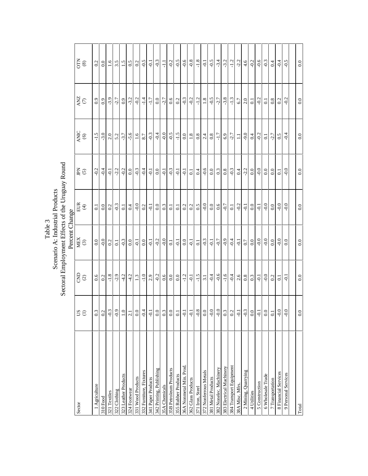| Sector                        |           | $\frac{1}{6}$                                               | Percent Change<br>MEX<br>(3) EU<br>(4)          | EUR<br>(4)                                   | ତ୍ର ସ                               | ONK<br>O          | $\frac{5}{2}$     | $\frac{1}{2}$                                                                                     |
|-------------------------------|-----------|-------------------------------------------------------------|-------------------------------------------------|----------------------------------------------|-------------------------------------|-------------------|-------------------|---------------------------------------------------------------------------------------------------|
|                               | $\ominus$ |                                                             |                                                 |                                              |                                     |                   |                   |                                                                                                   |
| 1 Agriculture                 |           |                                                             |                                                 |                                              | $-0.2$                              |                   |                   |                                                                                                   |
| 310 Food                      |           | $rac{6}{0.2}$                                               | $rac{1}{2}$                                     | $\frac{1}{5}$                                | $-0.4$                              | $-1.5$            | $\frac{6.9}{0.9}$ | $rac{2}{0.0}$                                                                                     |
| 321 Textiles                  |           | $-1.8$                                                      | 0.2                                             | 0.2                                          | $-1$                                | 2.0               | $-3.9$            | 1.6                                                                                               |
| 322 Clothing                  |           | $-2.9$                                                      | $\hbox{C}$                                      | $-0.3$                                       | $-2.2$                              | 5.2               | $-2.7$            | $3.\overline{5}$                                                                                  |
| 323 Leather Products          |           |                                                             | $-0.3$                                          |                                              |                                     |                   | 0.9               |                                                                                                   |
| 324 Footwear                  |           | 4.2                                                         | 0.0                                             | $\frac{1}{10}$                               | $rac{2}{0.0}$                       |                   |                   | $1.5$<br>0.5                                                                                      |
| 331 Wood Products             |           | $1.3\,$                                                     | $-0.1$                                          | $-0.0$                                       |                                     | $\frac{3.7}{5.6}$ | $-3.2$            | $0.2\,$                                                                                           |
| 332 Furniture, Fixtures       |           | $-1.0$                                                      | 0.0                                             | 0.2                                          | $-0.4$                              | $8.7\,$           | $-1.4$            | $-0.5$                                                                                            |
| 341 Paper Products            |           | 2.9                                                         | 뒈                                               | $-0.1$                                       | $\frac{1}{2}$                       | $-0.3$            | $-1.7$            | $\frac{1}{2}$                                                                                     |
| 342 Printing, Publishing      |           |                                                             | $-0.2$                                          | $0.0\,$                                      |                                     |                   | $0.0\,$           |                                                                                                   |
| 35A Chemicals                 |           |                                                             |                                                 | 0.3                                          | $rac{1}{9}$                         | $-0.0$            | $-2.7$            |                                                                                                   |
| <b>35B Petroleum Products</b> |           |                                                             |                                                 |                                              |                                     |                   |                   |                                                                                                   |
| 355 Rubber Products           |           |                                                             |                                                 |                                              |                                     | $-1.5$            | 0.2               |                                                                                                   |
| 36A Nonnetal Min. Prod        |           | $rac{3}{9}$ $rac{9}{9}$ $rac{9}{9}$ $rac{9}{9}$ $rac{1}{1}$ | 위리의의의                                           | $\frac{1}{10}$ $\frac{1}{10}$ $\frac{1}{10}$ | $rac{1}{9}$ $rac{1}{9}$ $rac{1}{9}$ |                   |                   | $\frac{3}{2}$ $\frac{1}{4}$ $\frac{3}{2}$ $\frac{3}{2}$ $\frac{3}{2}$ $\frac{3}{2}$ $\frac{3}{2}$ |
| 362 Glass Products            |           | $-51$                                                       |                                                 |                                              |                                     | $\frac{0.0}{1.8}$ | $-0.3$            |                                                                                                   |
| 371 Iron, Steel               |           | $-1.5$                                                      | $\hbox{C}$                                      | 0.5                                          | 0.4                                 | $0.8\,$           | $-1.2$            | $-1.8$                                                                                            |
| 372 Nonferrous Metals         |           |                                                             |                                                 |                                              |                                     |                   | $\frac{8}{1.8}$   |                                                                                                   |
| 381 Metal Products            |           | $\frac{3.1}{9.6}$                                           |                                                 | $rac{10}{100}$                               | $-68$                               | $2.4$<br>0.8      |                   |                                                                                                   |
| 382 Nonelec. Machinery        |           |                                                             |                                                 |                                              |                                     | $-1.7$            | $-0.5$            |                                                                                                   |
| 383 Electrical Machinery      |           | $-1.6$                                                      | $rac{3}{9}$ $rac{1}{9}$ $rac{5}{9}$ $rac{2}{9}$ | $\overline{0.7}$                             | 0.8                                 | 6.9               | $-3.8$            | $-0.5$ $\frac{1}{2}$ $\frac{1}{2}$ $\frac{1}{2}$ $\frac{1}{2}$                                    |
| 384 Transport Equipment       |           | $-0.4$                                                      | $-0.4$                                          | $\hbox{C}1$                                  | $-0.3$                              | $-2.7$            | $-1.3$            | $-1.2$                                                                                            |
| 38A Misc. Mfrs.               |           | 2.6                                                         | $-0.1$                                          | $-0.2$                                       | $\overline{6}$                      | $\Xi$             | 6.7               |                                                                                                   |
| 2 Mining, Quarrying           |           | $\frac{0.8}{0.8}$                                           | $0.7\,$                                         |                                              | $-2.2$                              | $-9.0$            |                   | $-2.\overline{2}$<br>$-4.\overline{6}$<br>$-0.\overline{2}$                                       |
| 4 Utilities                   |           | $0.3\,$                                                     | $0.0\,$                                         | $\frac{0.1}{0.0}$                            | $_{0.0}$                            |                   | $rac{0}{0}$       |                                                                                                   |
| 5 Construction                |           | $\frac{1}{2}$                                               | $-0.0$                                          | $-0.1$                                       | $-0.0$                              | $-0.2$            | $-0.2$            | $-0.6$                                                                                            |
| 6 Wholesale Trade             |           | $-0.0$                                                      | $rac{0}{\sqrt{1}}$                              | $rac{1}{2}$                                  | 0.0                                 | $\overline{c}$    | $\overline{c}$    | $-0.3$                                                                                            |
| 7 Transportation              |           | $\frac{0.2}{1}$                                             | $0.0\,$                                         | $\overline{0.0}$                             | 0.0                                 | $-2.7$            | $\frac{8}{10}$    | 0.4                                                                                               |
| 8 Financial Services          |           | $\overline{0}$ .                                            | $0.0 -$                                         | $-0.0$                                       | $\overline{0.1}$                    | 0.5               | 0.2               | $-0.4$                                                                                            |
| 9 Personal Services           |           | $-0.1$                                                      | 0.0                                             | $-0.0$                                       | $-0.0$                              | $-0.4$            | $-0.2$            | $-0.5$                                                                                            |
|                               |           |                                                             |                                                 |                                              |                                     |                   |                   |                                                                                                   |
| Total                         | 0.0       | $0.0\,$                                                     | $0.0\,$                                         | $0.0\,$                                      | $0.0\,$                             | $0.0\,$           | $0.0\,$           | $0.0\,$                                                                                           |

Table 3<br>Scenario A: Industrial Products<br>Sectoral Employment Effects of the Uruguay Round<br>Percent Change Scenario A: Industrial Products Sectoral Employment Effects of the Uruguay Round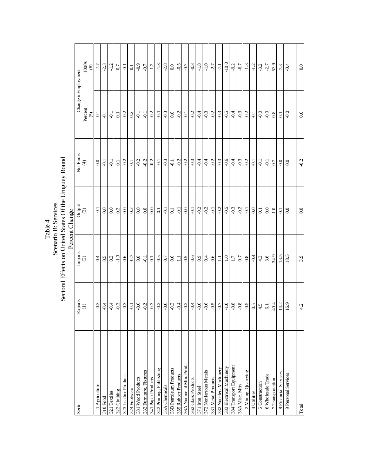Sectoral Effects on United States Of the Uruguay Round Sectoral Effects on United States Of the Uruguay Round Table 4<br>Scenario B: Services Scenario B: Services Percent Change Percent Change

1000s  $-10.0$  $-1.3$  $\frac{1}{2}$  (1)  $\frac{1}{2}$  (1)  $\frac{1}{2}$  (1)  $\frac{1}{2}$  (1)  $\frac{1}{2}$  (1)  $\frac{1}{2}$  (1)  $\frac{1}{2}$  (1)  $\frac{1}{2}$  (1)  $\frac{1}{2}$  (1)  $\frac{1}{2}$  (1)  $\frac{1}{2}$  (1)  $\frac{1}{2}$  (1)  $\frac{1}{2}$  (1)  $\frac{1}{2}$  (1)  $\frac{1}{2}$  (1)  $\frac{1}{2}$  (  $-2.3$  $-0.9$  $-0.7$  $-1.2$  $-2.8$  $0.0$  $-0.5$  $-0.7$  $-0.3$  $-1.0$  $-2.7$  $-9.2$  $-6.7$  $-1.3$  $-1.2$ 53.9  $-2.7$  $0.7\,$  $\overline{5}$  $0.1$ 383 Electrical Machinery -1.0 1.0 -0.5 -0.6 -0.5 -10.0  $-3.2$  $-2.7$  $7.3$  $-0.4$  $0.0$  7 Transportation 40.4 34.9 1.0 0.7 0.8 53.9  $\widehat{\mathbf{e}}$  1 Agriculture -0.3 0.4 -0.1 0.0 -0.1 -2.7 310 Food -0.4 0.5 0.0 -0.1 -0.1 -2.3 321 Textiles -0.4 0.3 0.0 -0.1 -0.1 -1.2  $\frac{1}{32}$  and  $\frac{3}{32}$  . The context of  $\frac{3}{32}$  -0.3  $\frac{1}{32}$  -0.3  $\frac{1}{32}$  -0.2  $\frac{1}{32}$  -0.2  $\frac{1}{32}$ 331 Wood Products -0.6 0.0 0.0 -0.2 -0.1 -0.9 332 Furniture, Fixtures -0.2 -0.1 0.0 -0.2 -0.1 -0.7 341 Paper Products -0.3 0.1 0.0 -0.2 -0.2 -1.2 7.1 Printing, Printing, Printing, Printing, Printing, Printing, Printing, Printing, Printing, Printing, Printing, Printing, Printing, Printing, Printing, Printing, Printing, Printing, Printing, Printing, Printing, Printing 35A Chemicals -0.6 0.7 -0.1 -0.3 -0.3 -2.8 355 Rubber Products -0.4 1.1 -0.1 -0.2 -0.2 -0.5 36A Nonmetal Min. Prod. -0.2 0.5 0.0 -0.2 -0.1 -0.7 362 Glass Products -0.4 0.6 -0.1 -0.3 -0.2 -0.3 81T- III THOT III THOT III CONTINUES III ON OUT III ON OUT III ON OUT III ON OUT III ON OUT III ON O 0.11 - 1.0.3 Nonferrous Metals -0.4 -0.4 -0.2 -0.0 - 0.0 - 0.0 - 0.0 - 0.0 - 0.0 - 0.0 - 0.12 - 0.3 - 0.12 - 0  $2.7$  Metal Products -0.3  $-0.5$  -0.5 0.6  $-0.5$  -0.0  $-0.2$  -0.2  $-0.2$ 382 Nonelec. Machinery -0.7 1.1 -0.2 -0.3 -0.3 -7.1 384 Transport Equipment -0.8 1.7 -0.3 -0.4 -0.4 -9.2 1.67 -0.3  $\frac{38}{384 \text{ Nfisc.}}$  Mfrs.  $\frac{9.3}{4.3}$  -0.3  $\frac{9.3}{4.5}$  -0.3 2 Mining, Quarrying -0.5 0.8 -0.1 -0.2 -0.2 -1.3 4 Utilities 0.5 -0.4 0.0 -0.1 -0.1 -1.2  $5.3$   $\sim$   $-0.0$   $\sim$   $-0.0$   $\sim$   $-0.0$   $\sim$   $-0.0$   $\sim$   $-0.0$   $\sim$   $-0.0$   $\sim$   $-0.0$   $\sim$   $-0.0$   $\sim$   $-0.0$   $\sim$   $-0.0$   $\sim$   $-0.0$   $\sim$   $-0.0$   $\sim$   $-0.0$   $\sim$   $-0.0$   $\sim$   $-0.0$   $\sim$   $-0.0$   $\sim$   $-0.0$   $\sim$   $-0.0$  6 Wholesale Trade 6.1 3.6 0.0 -0.1 -0.0 -2.7 9 Personal Services 16.9 18.5 0.0 0.0 -0.0 -0.4 (5) (6) 322 Clothing -0.3 -1.0 0.2 0.1 0.1 0.7  $\frac{1}{324}$   $\frac{1}{324}$   $\frac{1}{324}$   $\frac{1}{324}$   $\frac{1}{324}$   $\frac{1}{324}$   $\frac{1}{324}$   $\frac{1}{324}$   $\frac{1}{324}$   $\frac{1}{324}$   $\frac{1}{324}$   $\frac{1}{324}$   $\frac{1}{324}$   $\frac{1}{324}$   $\frac{1}{324}$   $\frac{1}{324}$   $\frac{1}{324}$   $\frac{1}{324}$   $\frac{1$  $\frac{358}{10}$   $\frac{358}{10}$   $\frac{358}{10}$   $\frac{358}{10}$   $\frac{358}{10}$   $\frac{358}{10}$   $\frac{358}{10}$   $\frac{358}{10}$   $\frac{358}{10}$   $\frac{358}{10}$   $\frac{358}{10}$   $\frac{358}{10}$   $\frac{358}{10}$   $\frac{358}{10}$   $\frac{358}{10}$   $\frac{358}{10}$   $\frac{358}{10}$  8 Financial Services 14.2 13.5 0.1 0.0 0.1 7.3  $\frac{1}{1000}$  0.0  $\frac{1}{1000}$  0.0  $\frac{1}{1000}$  0.0  $\frac{1}{1000}$  0.0  $\frac{1}{1000}$  0.0  $\frac{1}{1000}$  0.0  $\frac{1}{1000}$  0.0  $\frac{1}{1000}$  0.0  $\frac{1}{1000}$  0.0  $\frac{1}{1000}$  0.0  $\frac{1}{1000}$  0.0  $\frac{1}{1000}$  0.0  $\frac{1}{1000}$  0.0 Change inEmployment Sector Exports Imports Output No. Firms Change inEmployment Percent  $-0.2$  $-0.1$  $-0.3$  $rac{2}{9}$   $rac{3}{9}$  $-0.2$  $-0.1$  $-0.2$  $-0.1$  $-0.1$  $-0.2$  $-0.3$  $-0.4$  $-0.3$  $-0.0$  $-0.0$  $-0.0$  $0.0$  $-0.1$  $-0.1$  $0.1\,$  $0.8$  $\tilde{S}$  $\overline{0}$ . No. Firms  $\left| \frac{4}{9} \right| \frac{2}{9} \left| \frac{2}{9} \right|$  $-0.4$  $-0.2$  $\frac{0.0}{0.1}$  $-0.2$  $\bigoplus$  $-0.1$  $\overline{0.1}$  $-0.1$  $-0.1$  $0.7\,$  $0.0\,$  $0.0$ Output<br>  $(3)$  $rac{0.0}{-0.1}$  $rac{2}{9}$  $rac{1}{9}$  $rac{2}{9}$  $rac{2}{9}$  $-0.3$  $-0.2$  $-0.1$  $0.0\,$  $\overline{0.0}$  $0.2$  $\frac{0.0}{0.2}$  $0.0$  $0.0$  $0.0\,$  $rac{1}{0.1}$  $-0.1$  $-0.1$  $\overline{0.0}$  $0.0\,$  $1.0\,$  $0.0$  $0.0$  $0.1\,$  $\Xi$ Imports  $(2)$  $\frac{0.6}{0.9}$ 18.5  $-1.0$  $-0.7$ 34.9  $0.4$  $0.5$  $0.3$  $0.6$  $_{0.0}$  $-0.1$  $0.1\,$  $\frac{0.5}{0.7}$  $0.6$  $\Xi$  $0.5$  $0.4$  $0.6\,$  $\Box$  $0.1$  $1.7\,$  $0.7$  $0.8$  $-0.4$  $4.3$  $3.6$ 13.5 3.9 Exports  $-0.6$  $-0.2$  $-0.3$  $-0.2$  $-0.6$  $-0.3$  $-0.2$  $-0.6$  $-0.5$  $-0.7$ 16.9  $-0.3$  $-0.4$  $-0.4$  $-0.3$  $-0.3$  $-0.1$  $-0.4$  $-0.4$  $-0.6$  $-0.8$  $-0.8$  $-0.5$ 40.4 14.2  $4.2$  $\ominus$  $0.5$  $4.5$  $6.1\,$ 36A Nonmetal Min. Prod. 884 Transport Equipment 35B Petroleum Products 382 Nonelec. Machinery 383 Electrical Machinery 342 Printing, Publishing 372 Nonferrous Metals 2 Mining, Quarrying 332 Furniture, Fixtures 8 Financial Services 323 Leather Products 9 Personal Services 855 Rubber Products 6 Wholesale Trade 381 Metal Products 331 Wood Products 341 Paper Products 362 Glass Products 7 Transportation 5 Construction 38A Misc. Mfrs. 1 Agriculture 35A Chemicals 371 Iron, Steel 324 Footwear 322 Clothing 4 Utilities 321 Textiles 310 Food Sector Total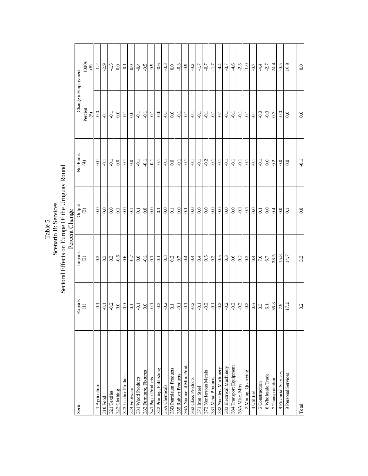Table 5<br>Sectoral Effects on Europe Of the Uruguay Round<br>Percent Change Scenario B: Services Sectoral Effects on Europe Of the Uruguay Round Percent Change

| Sector                   | Exports<br>(1)<br>щ | Imports $(2)$               | Output<br>$(3)$                                 | No. Firms<br>(4)              | Change inEmployment |                                                                                     |
|--------------------------|---------------------|-----------------------------|-------------------------------------------------|-------------------------------|---------------------|-------------------------------------------------------------------------------------|
|                          |                     |                             |                                                 |                               | Percent             | $1000s$                                                                             |
|                          |                     |                             |                                                 |                               | $\odot$             | $\widehat{\mathfrak{S}}$                                                            |
| 1 Agriculture            |                     | 0.3                         | $0.0\,$                                         | $0.0\,$                       | $-0.0$              | $-1.2$                                                                              |
| 310 Food                 |                     | 0.3                         | $0.0\,$                                         | $\overline{q}$                | $-0.1$              |                                                                                     |
| 321 Textiles             |                     | 0.3                         | $0.0\,$                                         | 뒤                             | $-1$                | $-2.9$                                                                              |
| 322 Clothing             |                     | $-0.6$                      | $0.1\,$                                         | $0.0\,$                       | $0.0\,$             | $0.0\,$                                                                             |
| 323 Leather Products     |                     |                             | $0.0\,$                                         |                               | $-0.1$              |                                                                                     |
| 324 Footwear             |                     | $\frac{0.6}{0.7}$           | $\overline{0.1}$                                | $\frac{-0.1}{0.0}$            | $_{0.0}$            | $\frac{0.0}{0.0}$                                                                   |
| 331 Wood Products        |                     | $0.0\,$                     |                                                 | $-0.1$                        | $-0.1$              |                                                                                     |
| 332 Furniture, Fixtures  |                     | $-1$                        | $\begin{array}{c} 0.1 \\ 0.0 \end{array}$       | 뒈                             | $\frac{1}{2}$       | $-0.5$                                                                              |
| 341 Paper Products       |                     |                             | $0.0\,$                                         | $-0.1$                        | $-0.1$              |                                                                                     |
| 342 Printing, Publishing |                     |                             |                                                 | $-51$                         |                     |                                                                                     |
| 35A Chemicals            |                     | 5 5 6 6 5 5 6 6 6 9 6 9 6 6 | $\begin{array}{c} 0.1 \\ 0.0 \end{array}$       | $-1$                          | $-0.0$              | $\frac{3}{9}$ $\frac{9}{9}$ $\frac{3}{9}$ $\frac{1}{9}$ $\frac{1}{9}$ $\frac{1}{9}$ |
| 35B Petroleum Products   |                     |                             |                                                 |                               | 0.0                 |                                                                                     |
| 355 Rubber Products      |                     |                             | $\frac{1}{10}$                                  | $rac{0}{0}$                   | $\frac{1}{2}$       |                                                                                     |
| 36A Nonmetal Min. Prod.  |                     |                             |                                                 |                               |                     |                                                                                     |
| 362 Glass Products       |                     |                             | $rac{1}{6}$ $rac{1}{6}$ $rac{1}{6}$ $rac{1}{6}$ | $\frac{1}{9}$                 | $-1$ $-1$ $-1$      | $rac{3}{9}$ $rac{1}{9}$ $rac{1}{1}$ $rac{7}{9}$                                     |
| 371 Iron, Steel          |                     |                             |                                                 |                               |                     |                                                                                     |
| 372 Nonferrous Metals    |                     |                             |                                                 | $-0.1$                        | $\frac{1}{2}$       |                                                                                     |
| 381 Metal Products       |                     |                             | $0.0\,$                                         |                               | $-1$                |                                                                                     |
| 382 Nonelec. Machinery   |                     |                             | 0.0                                             |                               |                     |                                                                                     |
| 383 Electrical Machinery |                     |                             | $0.0\,$                                         | $\frac{1}{10}$ $\frac{1}{10}$ | $-0.1$              | $\frac{-1.7}{-4.4}$                                                                 |
| 384 Transport Equipment  |                     |                             |                                                 | $-0.1$                        | $-0.1$              | $-4.6$                                                                              |
| 38A Misc. Mfrs.          |                     | 0.6                         | $rac{0.0}{0.1}$                                 | $-1$                          | $-0.1$              | $-2.3$                                                                              |
| 2 Mining, Quarrying      |                     | $0.3\,$                     | $-0.1$                                          | $-1$                          | $-0.1$              |                                                                                     |
| 4 Utilities              |                     | 0.4                         | $0.0\,$                                         | $-0.1$                        | $-0.1$              | $-1.0$                                                                              |
| 5 Construction           |                     | 7.6                         | $\hbox{C}$                                      | $-0.1$                        | $-0.0 -$            | $-4.4$                                                                              |
| 6 Wholesale Trade        |                     | $6.7\,$                     | 0.0                                             | $\overline{0.0}$              | $-0.0$              | $-2.7$                                                                              |
| 7 Transportation         |                     | 38.5                        | 0.4                                             | 0.2                           | 0.3                 | 24.4                                                                                |
| 8 Financial Services     |                     | 15.8                        | 0.0                                             | 0.0                           | $-0.0$              | $-0.5$                                                                              |
| 9 Personal Services      | 17.2                | 14.7                        | $\overline{0}$ .                                | 0.0                           | $0.0\,$             | 16.9                                                                                |
|                          |                     |                             |                                                 |                               |                     |                                                                                     |
| Total                    | 3.2                 | $3.\overline{3}$            | 0.0                                             | $-0.1$                        | 0.0                 | 0.0                                                                                 |